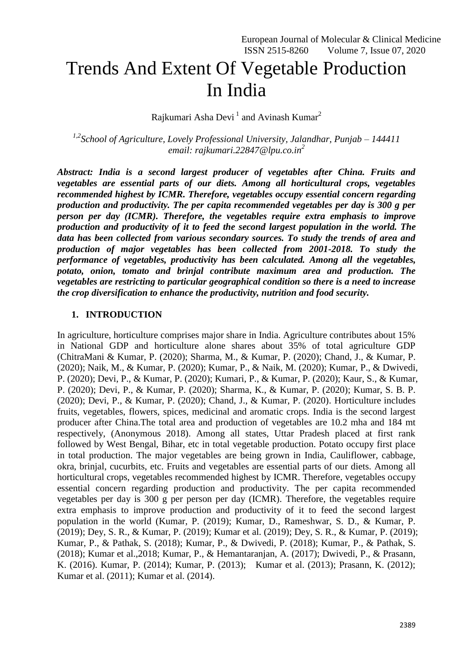# Trends And Extent Of Vegetable Production In India

Rajkumari Asha Devi<sup>1</sup> and Avinash Kumar<sup>2</sup>

*1,2 School of Agriculture, Lovely Professional University, Jalandhar, Punjab – 144411 email: [rajkumari.22847@lpu.co.in](mailto:avinash.25134@lpu.co.in) 2*

*Abstract: India is a second largest producer of vegetables after China. Fruits and vegetables are essential parts of our diets. Among all horticultural crops, vegetables recommended highest by ICMR. Therefore, vegetables occupy essential concern regarding production and productivity. The per capita recommended vegetables per day is 300 g per person per day (ICMR). Therefore, the vegetables require extra emphasis to improve production and productivity of it to feed the second largest population in the world. The data has been collected from various secondary sources. To study the trends of area and production of major vegetables has been collected from 2001-2018. To study the performance of vegetables, productivity has been calculated. Among all the vegetables, potato, onion, tomato and brinjal contribute maximum area and production. The vegetables are restricting to particular geographical condition so there is a need to increase the crop diversification to enhance the productivity, nutrition and food security.*

#### **1. INTRODUCTION**

In agriculture, horticulture comprises major share in India. Agriculture contributes about 15% in National GDP and horticulture alone shares about 35% of total agriculture GDP (ChitraMani & Kumar, P. (2020); Sharma, M., & Kumar, P. (2020); Chand, J., & Kumar, P. (2020); Naik, M., & Kumar, P. (2020); Kumar, P., & Naik, M. (2020); Kumar, P., & Dwivedi, P. (2020); Devi, P., & Kumar, P. (2020); Kumari, P., & Kumar, P. (2020); Kaur, S., & Kumar, P. (2020); Devi, P., & Kumar, P. (2020); Sharma, K., & Kumar, P. (2020); Kumar, S. B. P. (2020); Devi, P., & Kumar, P. (2020); Chand, J., & Kumar, P. (2020). Horticulture includes fruits, vegetables, flowers, spices, medicinal and aromatic crops. India is the second largest producer after China.The total area and production of vegetables are 10.2 mha and 184 mt respectively, (Anonymous 2018). Among all states, Uttar Pradesh placed at first rank followed by West Bengal, Bihar, etc in total vegetable production. Potato occupy first place in total production. The major vegetables are being grown in India, Cauliflower, cabbage, okra, brinjal, cucurbits, etc. Fruits and vegetables are essential parts of our diets. Among all horticultural crops, vegetables recommended highest by ICMR. Therefore, vegetables occupy essential concern regarding production and productivity. The per capita recommended vegetables per day is 300 g per person per day (ICMR). Therefore, the vegetables require extra emphasis to improve production and productivity of it to feed the second largest population in the world (Kumar, P. (2019); Kumar, D., Rameshwar, S. D., & Kumar, P. (2019); Dey, S. R., & Kumar, P. (2019); Kumar et al. (2019); Dey, S. R., & Kumar, P. (2019); Kumar, P., & Pathak, S. (2018); Kumar, P., & Dwivedi, P. (2018); Kumar, P., & Pathak, S. (2018); Kumar et al.,2018; Kumar, P., & Hemantaranjan, A. (2017); Dwivedi, P., & Prasann, K. (2016). Kumar, P. (2014); Kumar, P. (2013); Kumar et al. (2013); Prasann, K. (2012); Kumar et al. (2011); Kumar et al. (2014).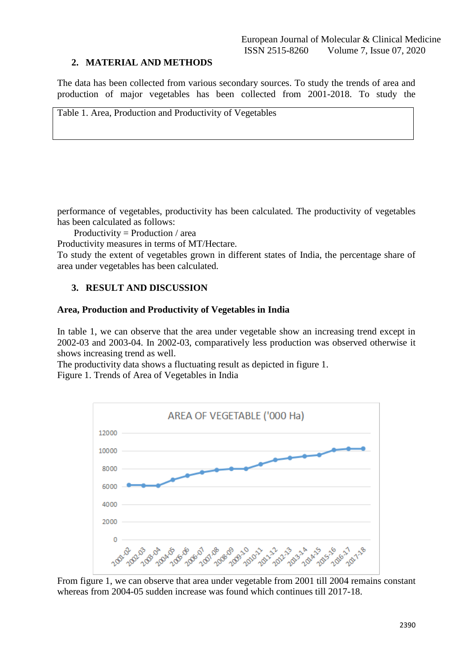#### **2. MATERIAL AND METHODS**

The data has been collected from various secondary sources. To study the trends of area and production of major vegetables has been collected from 2001-2018. To study the

Table 1. Area, Production and Productivity of Vegetables

performance of vegetables, productivity has been calculated. The productivity of vegetables has been calculated as follows:

Productivity = Production / area

Productivity measures in terms of MT/Hectare.

To study the extent of vegetables grown in different states of India, the percentage share of area under vegetables has been calculated.

#### **3. RESULT AND DISCUSSION**

#### **Area, Production and Productivity of Vegetables in India**

In table 1, we can observe that the area under vegetable show an increasing trend except in 2002-03 and 2003-04. In 2002-03, comparatively less production was observed otherwise it shows increasing trend as well.

The productivity data shows a fluctuating result as depicted in figure 1. Figure 1. Trends of Area of Vegetables in India



From figure 1, we can observe that area under vegetable from 2001 till 2004 remains constant whereas from 2004-05 sudden increase was found which continues till 2017-18.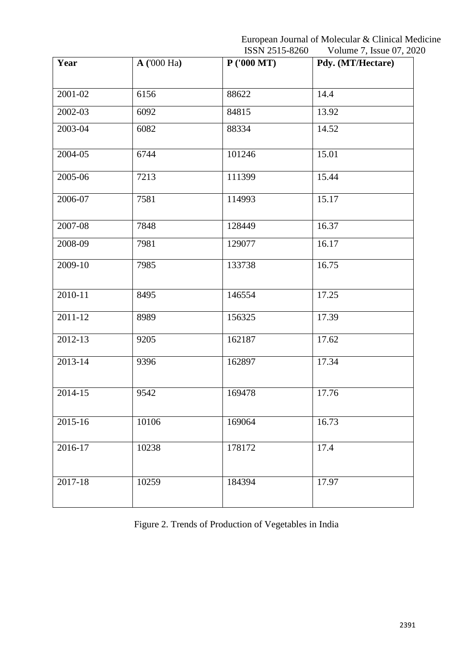European Journal of Molecular & Clinical Medicine ISSN 2515-8260 Volume 7, Issue 07, 2020

| Year        | A(000 Ha) | P(000 MT) | $\frac{1}{2}$ order $\frac{1}{2}$ order $\frac{1}{2}$ order<br>Pdy. (MT/Hectare) |
|-------------|-----------|-----------|----------------------------------------------------------------------------------|
|             |           |           |                                                                                  |
| 2001-02     | 6156      | 88622     | 14.4                                                                             |
| 2002-03     | 6092      | 84815     | 13.92                                                                            |
| 2003-04     | 6082      | 88334     | 14.52                                                                            |
| 2004-05     | 6744      | 101246    | 15.01                                                                            |
| 2005-06     | 7213      | 111399    | 15.44                                                                            |
| 2006-07     | 7581      | 114993    | 15.17                                                                            |
| 2007-08     | 7848      | 128449    | 16.37                                                                            |
| 2008-09     | 7981      | 129077    | 16.17                                                                            |
| 2009-10     | 7985      | 133738    | 16.75                                                                            |
| $2010 - 11$ | 8495      | 146554    | 17.25                                                                            |
| 2011-12     | 8989      | 156325    | 17.39                                                                            |
| 2012-13     | 9205      | 162187    | 17.62                                                                            |
| 2013-14     | 9396      | 162897    | 17.34                                                                            |
| 2014-15     | 9542      | 169478    | 17.76                                                                            |
| 2015-16     | 10106     | 169064    | 16.73                                                                            |
| 2016-17     | 10238     | 178172    | 17.4                                                                             |
| $2017 - 18$ | 10259     | 184394    | 17.97                                                                            |

Figure 2. Trends of Production of Vegetables in India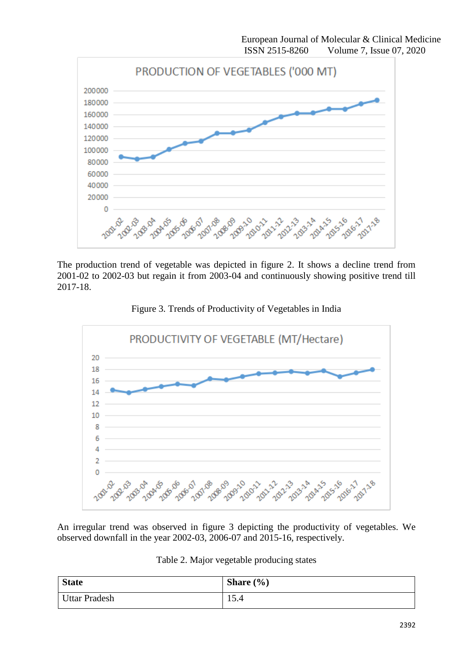

The production trend of vegetable was depicted in figure 2. It shows a decline trend from 2001-02 to 2002-03 but regain it from 2003-04 and continuously showing positive trend till 2017-18.



Figure 3. Trends of Productivity of Vegetables in India

An irregular trend was observed in figure 3 depicting the productivity of vegetables. We observed downfall in the year 2002-03, 2006-07 and 2015-16, respectively.

|  |  |  | Table 2. Major vegetable producing states |  |
|--|--|--|-------------------------------------------|--|
|--|--|--|-------------------------------------------|--|

| <b>State</b>         | Share $(\% )$ |
|----------------------|---------------|
| <b>Uttar Pradesh</b> | 15<br>15.4    |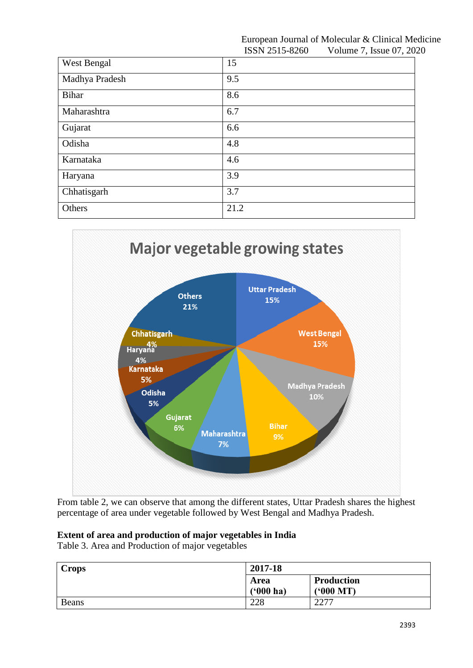#### European Journal of Molecular & Clinical Medicine ISSN 2515-8260 Volume 7, Issue 07, 2020

| West Bengal    | 15   |
|----------------|------|
| Madhya Pradesh | 9.5  |
| Bihar          | 8.6  |
| Maharashtra    | 6.7  |
| Gujarat        | 6.6  |
| Odisha         | 4.8  |
| Karnataka      | 4.6  |
| Haryana        | 3.9  |
| Chhatisgarh    | 3.7  |
| Others         | 21.2 |



From table 2, we can observe that among the different states, Uttar Pradesh shares the highest percentage of area under vegetable followed by West Bengal and Madhya Pradesh.

## **Extent of area and production of major vegetables in India**

Table 3. Area and Production of major vegetables

| <b>Crops</b> | 2017-18             |                              |
|--------------|---------------------|------------------------------|
|              | Area<br>$(900)$ ha) | <b>Production</b><br>(900 M) |
| <b>Beans</b> | 228                 | つつワワ<br>221                  |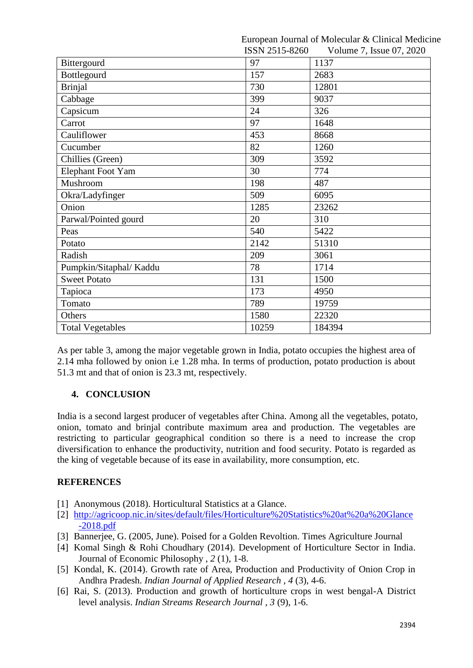European Journal of Molecular & Clinical Medicine  $I$ CCN 2515-9260 Volume 7, Issue 07, 2020

|                         | <b>IDDIN</b> 2010-8200 | VOIUME $\sqrt{ }$ , issue 07, 2020 |
|-------------------------|------------------------|------------------------------------|
| Bittergourd             | 97                     | 1137                               |
| Bottlegourd             | 157                    | 2683                               |
| <b>Brinjal</b>          | 730                    | 12801                              |
| Cabbage                 | 399                    | 9037                               |
| Capsicum                | 24                     | 326                                |
| Carrot                  | 97                     | 1648                               |
| Cauliflower             | 453                    | 8668                               |
| Cucumber                | 82                     | 1260                               |
| Chillies (Green)        | 309                    | 3592                               |
| Elephant Foot Yam       | 30                     | 774                                |
| Mushroom                | 198                    | 487                                |
| Okra/Ladyfinger         | 509                    | 6095                               |
| Onion                   | 1285                   | 23262                              |
| Parwal/Pointed gourd    | 20                     | 310                                |
| Peas                    | 540                    | 5422                               |
| Potato                  | 2142                   | 51310                              |
| Radish                  | 209                    | 3061                               |
| Pumpkin/Sitaphal/Kaddu  | 78                     | 1714                               |
| <b>Sweet Potato</b>     | 131                    | 1500                               |
| Tapioca                 | 173                    | 4950                               |
| Tomato                  | 789                    | 19759                              |
| Others                  | 1580                   | 22320                              |
| <b>Total Vegetables</b> | 10259                  | 184394                             |

As per table 3, among the major vegetable grown in India, potato occupies the highest area of 2.14 mha followed by onion i.e 1.28 mha. In terms of production, potato production is about 51.3 mt and that of onion is 23.3 mt, respectively.

# **4. CONCLUSION**

India is a second largest producer of vegetables after China. Among all the vegetables, potato, onion, tomato and brinjal contribute maximum area and production. The vegetables are restricting to particular geographical condition so there is a need to increase the crop diversification to enhance the productivity, nutrition and food security. Potato is regarded as the king of vegetable because of its ease in availability, more consumption, etc.

## **REFERENCES**

- [1] Anonymous (2018). Horticultural Statistics at a Glance.
- [2] [http://agricoop.nic.in/sites/default/files/Horticulture%20Statistics%20at%20a%20Glance](http://agricoop.nic.in/sites/default/files/Horticulture%20Statistics%20at%20a%20Glance-2018.pdf) [-2018.pdf](http://agricoop.nic.in/sites/default/files/Horticulture%20Statistics%20at%20a%20Glance-2018.pdf)
- [3] Bannerjee, G. (2005, June). Poised for a Golden Revoltion. Times Agriculture Journal
- [4] Komal Singh & Rohi Choudhary (2014). Development of Horticulture Sector in India. Journal of Economic Philosophy , *2* (1), 1-8.
- [5] Kondal, K. (2014). Growth rate of Area, Production and Productivity of Onion Crop in Andhra Pradesh. *Indian Journal of Applied Research* , *4* (3), 4-6.
- [6] Rai, S. (2013). Production and growth of horticulture crops in west bengal-A District level analysis. *Indian Streams Research Journal , 3* (9), 1-6.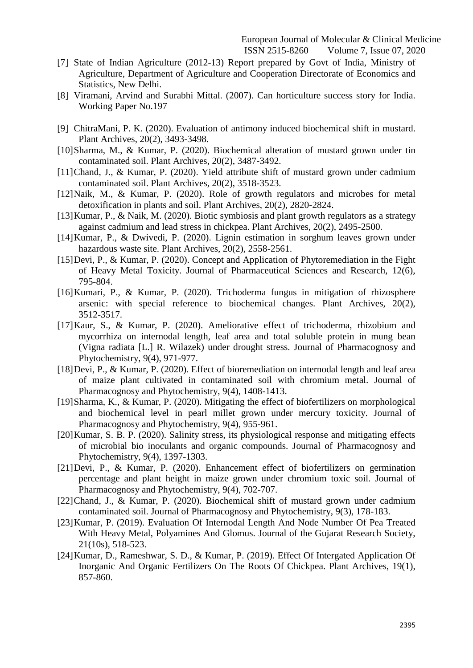- [7] State of Indian Agriculture (2012-13) Report prepared by Govt of India, Ministry of Agriculture, Department of Agriculture and Cooperation Directorate of Economics and Statistics, New Delhi.
- [8] Viramani, Arvind and Surabhi Mittal. (2007). Can horticulture success story for India. Working Paper No.197
- [9] ChitraMani, P. K. (2020). Evaluation of antimony induced biochemical shift in mustard. Plant Archives, 20(2), 3493-3498.
- [10]Sharma, M., & Kumar, P. (2020). Biochemical alteration of mustard grown under tin contaminated soil. Plant Archives, 20(2), 3487-3492.
- [11]Chand, J., & Kumar, P. (2020). Yield attribute shift of mustard grown under cadmium contaminated soil. Plant Archives, 20(2), 3518-3523.
- [12]Naik, M., & Kumar, P. (2020). Role of growth regulators and microbes for metal detoxification in plants and soil. Plant Archives, 20(2), 2820-2824.
- [13] Kumar, P., & Naik, M. (2020). Biotic symbiosis and plant growth regulators as a strategy against cadmium and lead stress in chickpea. Plant Archives, 20(2), 2495-2500.
- [14]Kumar, P., & Dwivedi, P. (2020). Lignin estimation in sorghum leaves grown under hazardous waste site. Plant Archives, 20(2), 2558-2561.
- [15]Devi, P., & Kumar, P. (2020). Concept and Application of Phytoremediation in the Fight of Heavy Metal Toxicity. Journal of Pharmaceutical Sciences and Research, 12(6), 795-804.
- [16]Kumari, P., & Kumar, P. (2020). Trichoderma fungus in mitigation of rhizosphere arsenic: with special reference to biochemical changes. Plant Archives, 20(2), 3512-3517.
- [17]Kaur, S., & Kumar, P. (2020). Ameliorative effect of trichoderma, rhizobium and mycorrhiza on internodal length, leaf area and total soluble protein in mung bean (Vigna radiata [L.] R. Wilazek) under drought stress. Journal of Pharmacognosy and Phytochemistry, 9(4), 971-977.
- [18]Devi, P., & Kumar, P. (2020). Effect of bioremediation on internodal length and leaf area of maize plant cultivated in contaminated soil with chromium metal. Journal of Pharmacognosy and Phytochemistry, 9(4), 1408-1413.
- [19]Sharma, K., & Kumar, P. (2020). Mitigating the effect of biofertilizers on morphological and biochemical level in pearl millet grown under mercury toxicity. Journal of Pharmacognosy and Phytochemistry, 9(4), 955-961.
- [20]Kumar, S. B. P. (2020). Salinity stress, its physiological response and mitigating effects of microbial bio inoculants and organic compounds. Journal of Pharmacognosy and Phytochemistry, 9(4), 1397-1303.
- [21]Devi, P., & Kumar, P. (2020). Enhancement effect of biofertilizers on germination percentage and plant height in maize grown under chromium toxic soil. Journal of Pharmacognosy and Phytochemistry, 9(4), 702-707.
- [22]Chand, J., & Kumar, P. (2020). Biochemical shift of mustard grown under cadmium contaminated soil. Journal of Pharmacognosy and Phytochemistry, 9(3), 178-183.
- [23]Kumar, P. (2019). Evaluation Of Internodal Length And Node Number Of Pea Treated With Heavy Metal, Polyamines And Glomus. Journal of the Gujarat Research Society, 21(10s), 518-523.
- [24]Kumar, D., Rameshwar, S. D., & Kumar, P. (2019). Effect Of Intergated Application Of Inorganic And Organic Fertilizers On The Roots Of Chickpea. Plant Archives, 19(1), 857-860.